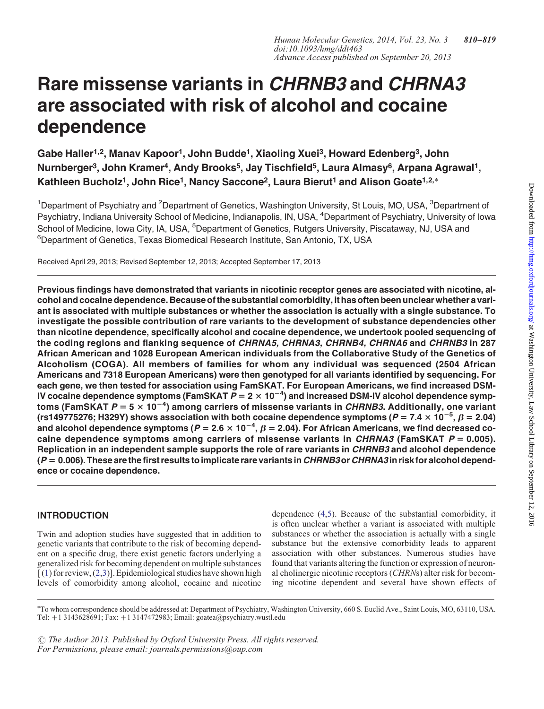# Rare missense variants in CHRNB3 and CHRNA3 are associated with risk of alcohol and cocaine dependence

Gabe Haller<sup>1,2</sup>, Manav Kapoor<sup>1</sup>, John Budde<sup>1</sup>, Xiaoling Xuei<sup>3</sup>, Howard Edenberg<sup>3</sup>, John Nurnberger<sup>3</sup>, John Kramer<sup>4</sup>, Andy Brooks<sup>5</sup>, Jay Tischfield<sup>5</sup>, Laura Almasy<sup>6</sup>, Arpana Agrawal<sup>1</sup>, Kathleen Bucholz<sup>1</sup>, John Rice<sup>1</sup>, Nancy Saccone<sup>2</sup>, Laura Bierut<sup>1</sup> and Alison Goate<sup>1,2,∗</sup>

<sup>1</sup>Department of Psychiatry and <sup>2</sup>Department of Genetics, Washington University, St Louis, MO, USA, <sup>3</sup>Department of Psychiatry, Indiana University School of Medicine, Indianapolis, IN, USA, <sup>4</sup>Department of Psychiatry, University of Iowa School of Medicine, Iowa City, IA, USA, <sup>5</sup>Department of Genetics, Rutgers University, Piscataway, NJ, USA and 6 Department of Genetics, Texas Biomedical Research Institute, San Antonio, TX, USA

Received April 29, 2013; Revised September 12, 2013; Accepted September 17, 2013

Previous findings have demonstrated that variants in nicotinic receptor genes are associated with nicotine, alcohol and cocaine dependence. Because of the substantial comorbidity, it has often been unclear whether a variant is associated with multiple substances or whether the association is actually with a single substance. To investigate the possible contribution of rare variants to the development of substance dependencies other than nicotine dependence, specifically alcohol and cocaine dependence, we undertook pooled sequencing of the coding regions and flanking sequence of CHRNA5, CHRNA3, CHRNB4, CHRNA6 and CHRNB3 in 287 African American and 1028 European American individuals from the Collaborative Study of the Genetics of Alcoholism (COGA). All members of families for whom any individual was sequenced (2504 African Americans and 7318 European Americans) were then genotyped for all variants identified by sequencing. For each gene, we then tested for association using FamSKAT. For European Americans, we find increased DSM-IV cocaine dependence symptoms (FamSKAT  $\bar{P}$  = 2  $\times$  10<sup>-4</sup>) and increased DSM-IV alcohol dependence symptoms (FamSKAT  $P = 5 \times 10^{-4}$ ) among carriers of missense variants in *CHRNB3*. Additionally, one variant (rs149775276; H329Y) shows association with both cocaine dependence symptoms (P = 7.4  $\times$  10 $^{-5}$ ,  $\beta$  = 2.04) and alcohol dependence symptoms ( $P = 2.6 \times 10^{-4}, \beta = 2.04$ ). For African Americans, we find decreased cocaine dependence symptoms among carriers of missense variants in CHRNA3 (FamSKAT  $P = 0.005$ ). Replication in an independent sample supports the role of rare variants in CHRNB3 and alcohol dependence  $(P = 0.006)$ . These are the first results to implicate rare variants in *CHRNB3* or *CHRNA3* in risk for alcohol dependence or cocaine dependence.

## INTRODUCTION

Twin and adoption studies have suggested that in addition to genetic variants that contribute to the risk of becoming dependent on a specific drug, there exist genetic factors underlying a generalized risk for becoming dependent on multiple substances  $[ (1)$  $[ (1)$  $[ (1)$  for review,  $(2,3)$  $(2,3)$  $(2,3)$ ]. Epidemiological studies have shown high levels of comorbidity among alcohol, cocaine and nicotine

dependence ([4,5](#page-8-0)). Because of the substantial comorbidity, it is often unclear whether a variant is associated with multiple substances or whether the association is actually with a single substance but the extensive comorbidity leads to apparent association with other substances. Numerous studies have found that variants altering the function or expression of neuronal cholinergic nicotinic receptors (CHRNs) alter risk for becoming nicotine dependent and several have shown effects of

∗ To whom correspondence should be addressed at: Department of Psychiatry, Washington University, 660 S. Euclid Ave., Saint Louis, MO, 63110, USA. Tel:  $+1$  3143628691; Fax:  $+1$  3147472983; Email: goatea@psychiatry.wustl.edu

 $\odot$  The Author 2013. Published by Oxford University Press. All rights reserved. For Permissions, please email: journals.permissions@oup.com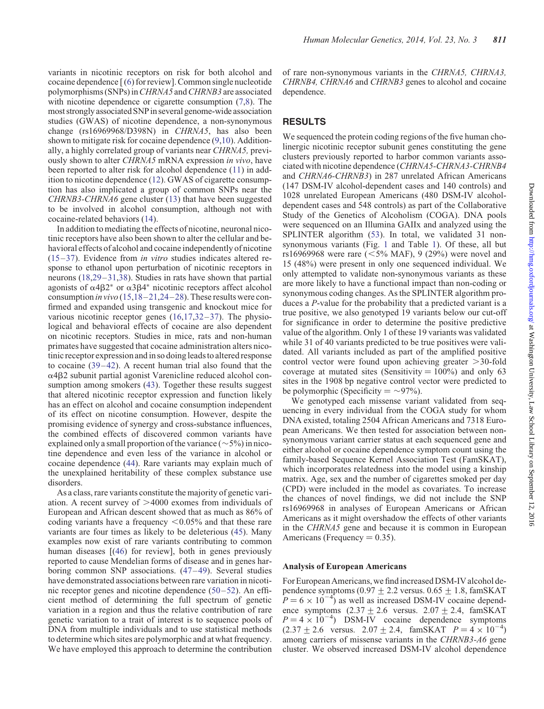variants in nicotinic receptors on risk for both alcohol and cocaine dependence [ ([6\)](#page-8-0) for review]. Common single nucleotide polymorphisms (SNPs) in CHRNA5 and CHRNB3 are associated with nicotine dependence or cigarette consumption  $(7,8)$  $(7,8)$  $(7,8)$ . The most strongly associated SNPin several genome-wide association studies (GWAS) of nicotine dependence, a non-synonymous change (rs16969968/D398N) in CHRNA5, has also been shown to mitigate risk for cocaine dependence ([9,10](#page-8-0)). Additionally, a highly correlated group of variants near CHRNA5, previously shown to alter CHRNA5 mRNA expression in vivo, have been reported to alter risk for alcohol dependence [\(11](#page-8-0)) in addition to nicotine dependence ([12\)](#page-8-0). GWAS of cigarette consumption has also implicated a group of common SNPs near the CHRNB3-CHRNA6 gene cluster ([13\)](#page-8-0) that have been suggested to be involved in alcohol consumption, although not with cocaine-related behaviors [\(14](#page-8-0)).

In addition to mediating the effects of nicotine, neuronal nicotinic receptors have also been shown to alter the cellular and behavioral effects of alcohol and cocaine independently of nicotine  $(15–37)$  $(15–37)$  $(15–37)$  $(15–37)$ . Evidence from *in vitro* studies indicates altered response to ethanol upon perturbation of nicotinic receptors in neurons ([18,](#page-8-0)[29](#page-9-0)–[31](#page-9-0),[38\)](#page-9-0). Studies in rats have shown that partial agonists of  $\alpha$ 4β2<sup>∗</sup> or  $\alpha$ 3β4<sup>∗</sup> nicotinic receptors affect alcohol consumption in vivo  $(15,18-21,24-28)$  $(15,18-21,24-28)$  $(15,18-21,24-28)$  $(15,18-21,24-28)$  $(15,18-21,24-28)$  $(15,18-21,24-28)$  $(15,18-21,24-28)$  $(15,18-21,24-28)$  $(15,18-21,24-28)$ . These results were confirmed and expanded using transgenic and knockout mice for various nicotinic receptor genes [\(16](#page-8-0),[17](#page-8-0)[,32](#page-9-0)–[37](#page-9-0)). The physiological and behavioral effects of cocaine are also dependent on nicotinic receptors. Studies in mice, rats and non-human primates have suggested that cocaine administration alters nicotinic receptor expression and in so doing leads to altered response to cocaine ([39](#page-9-0)–[42\)](#page-9-0). A recent human trial also found that the  $\alpha$ 4 $\beta$ 2 subunit partial agonist Varenicline reduced alcohol consumption among smokers ([43\)](#page-9-0). Together these results suggest that altered nicotinic receptor expression and function likely has an effect on alcohol and cocaine consumption independent of its effect on nicotine consumption. However, despite the promising evidence of synergy and cross-substance influences, the combined effects of discovered common variants have explained only a small proportion of the variance ( $\sim$  5%) in nicotine dependence and even less of the variance in alcohol or cocaine dependence [\(44](#page-9-0)). Rare variants may explain much of the unexplained heritability of these complex substance use disorders.

As a class, rare variants constitute the majority of genetic variation. A recent survey of  $>4000$  exomes from individuals of European and African descent showed that as much as 86% of coding variants have a frequency  $\leq 0.05\%$  and that these rare variants are four times as likely to be deleterious [\(45](#page-9-0)). Many examples now exist of rare variants contributing to common human diseases [([46\)](#page-9-0) for review], both in genes previously reported to cause Mendelian forms of disease and in genes harboring common SNP associations. [\(47](#page-9-0)–[49](#page-9-0)). Several studies have demonstrated associations between rare variation in nicotinic receptor genes and nicotine dependence [\(50](#page-9-0)–[52](#page-9-0)). An efficient method of determining the full spectrum of genetic variation in a region and thus the relative contribution of rare genetic variation to a trait of interest is to sequence pools of DNA from multiple individuals and to use statistical methods to determine which sites are polymorphic and at what frequency. We have employed this approach to determine the contribution

of rare non-synonymous variants in the CHRNA5, CHRNA3, CHRNB4, CHRNA6 and CHRNB3 genes to alcohol and cocaine dependence.

## RESULTS

We sequenced the protein coding regions of the five human cholinergic nicotinic receptor subunit genes constituting the gene clusters previously reported to harbor common variants associated with nicotine dependence (CHRNA5-CHRNA3-CHRNB4 and CHRNA6-CHRNB3) in 287 unrelated African Americans (147 DSM-IV alcohol-dependent cases and 140 controls) and 1028 unrelated European Americans (480 DSM-IV alcoholdependent cases and 548 controls) as part of the Collaborative Study of the Genetics of Alcoholism (COGA). DNA pools were sequenced on an Illumina GAIIx and analyzed using the SPLINTER algorithm [\(53](#page-9-0)). In total, we validated 31 nonsynonymous variants (Fig. [1](#page-2-0) and Table [1](#page-3-0)). Of these, all but rs16969968 were rare  $(<5\%$  MAF), 9 (29%) were novel and 15 (48%) were present in only one sequenced individual. We only attempted to validate non-synonymous variants as these are more likely to have a functional impact than non-coding or synonymous coding changes. As the SPLINTER algorithm produces a P-value for the probability that a predicted variant is a true positive, we also genotyped 19 variants below our cut-off for significance in order to determine the positive predictive value of the algorithm. Only 1 of these 19 variants was validated while 31 of 40 variants predicted to be true positives were validated. All variants included as part of the amplified positive control vector were found upon achieving greater  $>$ 30-fold coverage at mutated sites (Sensitivity  $= 100\%$ ) and only 63 sites in the 1908 bp negative control vector were predicted to be polymorphic (Specificity =  $\sim$ 97%).

We genotyped each missense variant validated from sequencing in every individual from the COGA study for whom DNA existed, totaling 2504 African Americans and 7318 European Americans. We then tested for association between nonsynonymous variant carrier status at each sequenced gene and either alcohol or cocaine dependence symptom count using the family-based Sequence Kernel Association Test (FamSKAT), which incorporates relatedness into the model using a kinship matrix. Age, sex and the number of cigarettes smoked per day (CPD) were included in the model as covariates. To increase the chances of novel findings, we did not include the SNP rs16969968 in analyses of European Americans or African Americans as it might overshadow the effects of other variants in the CHRNA5 gene and because it is common in European Americans (Frequency  $= 0.35$ ).

#### Analysis of European Americans

For European Americans, we findincreased DSM-IV alcohol dependence symptoms (0.97  $\pm$  2.2 versus. 0.65  $\pm$  1.8, famSKAT  $P = 6 \times 10^{-4}$  as well as increased DSM-IV cocaine dependence symptoms  $(2.37 \pm 2.6$  versus.  $2.07 \pm 2.4$ , famSKAT  $P = 4 \times 10^{-4}$ ) DSM-IV cocaine dependence symptoms  $(2.37 \pm 2.6 \text{ versus. } 2.07 \pm 2.4, \text{ famSKAT } P = 4 \times 10^{-4})$ among carriers of missense variants in the CHRNB3-A6 gene cluster. We observed increased DSM-IV alcohol dependence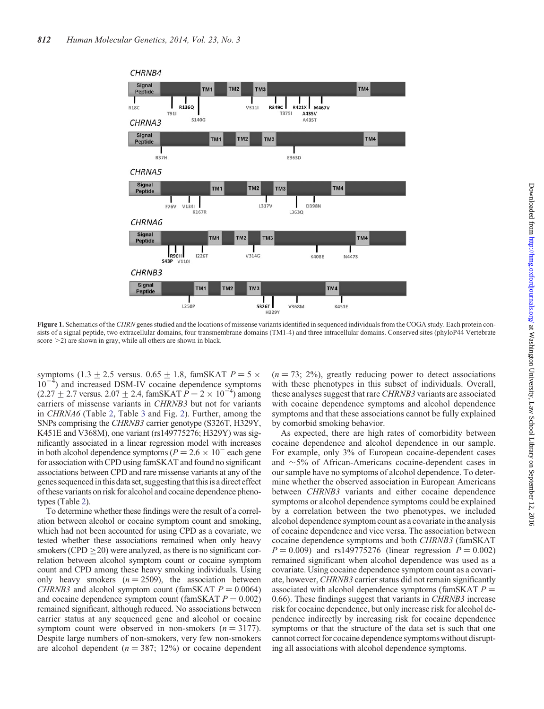<span id="page-2-0"></span>

Figure 1. Schematics of the CHRN genes studied and the locations of missense variants identified in sequenced individuals from the COGA study. Each protein consists of a signal peptide, two extracellular domains, four transmembrane domains (TM1-4) and three intracellular domains. Conserved sites (phyloP44 Vertebrate score  $>$  2) are shown in gray, while all others are shown in black.

symptoms (1.3  $\pm$  2.5 versus. 0.65  $\pm$  1.8, famSKAT  $P = 5 \times$  $10^{-4}$ ) and increased DSM-IV cocaine dependence symptoms  $(2.27 + 2.7 \text{ versus. } 2.07 + 2.4, \text{ famSKAT } P = 2 \times 10^{-4}) \text{ among}$ carriers of missense variants in CHRNB3 but not for variants in CHRNA6 (Table [2,](#page-4-0) Table [3](#page-4-0) and Fig. [2\)](#page-5-0). Further, among the SNPs comprising the CHRNB3 carrier genotype (S326T, H329Y, K451E and V368M), one variant (rs149775276; H329Y) was significantly associated in a linear regression model with increases in both alcohol dependence symptoms ( $P = 2.6 \times 10^{-7}$  each gene for association with CPD using famSKAT and found no significant associations between CPD and rare missense variants at any of the genes sequenced in this data set, suggesting that this is a direct effect ofthese variants on risk for alcohol and cocaine dependence phenotypes (Table [2\)](#page-4-0).

To determine whether these findings were the result of a correlation between alcohol or cocaine symptom count and smoking, which had not been accounted for using CPD as a covariate, we tested whether these associations remained when only heavy smokers (CPD  $>$  20) were analyzed, as there is no significant correlation between alcohol symptom count or cocaine symptom count and CPD among these heavy smoking individuals. Using only heavy smokers  $(n = 2509)$ , the association between *CHRNB3* and alcohol symptom count (famSKAT  $P = 0.0064$ ) and cocaine dependence symptom count (famSKAT  $P = 0.002$ ) remained significant, although reduced. No associations between carrier status at any sequenced gene and alcohol or cocaine symptom count were observed in non-smokers  $(n = 3177)$ . Despite large numbers of non-smokers, very few non-smokers are alcohol dependent ( $n = 387$ ; 12%) or cocaine dependent

 $(n = 73; 2\%)$ , greatly reducing power to detect associations with these phenotypes in this subset of individuals. Overall, these analyses suggest that rare CHRNB3 variants are associated with cocaine dependence symptoms and alcohol dependence symptoms and that these associations cannot be fully explained by comorbid smoking behavior.

As expected, there are high rates of comorbidity between cocaine dependence and alcohol dependence in our sample. For example, only 3% of European cocaine-dependent cases and  $\sim$  5% of African-Americans cocaine-dependent cases in our sample have no symptoms of alcohol dependence. To determine whether the observed association in European Americans between CHRNB3 variants and either cocaine dependence symptoms or alcohol dependence symptoms could be explained by a correlation between the two phenotypes, we included alcohol dependence symptom count as a covariate in the analysis of cocaine dependence and vice versa. The association between cocaine dependence symptoms and both CHRNB3 (famSKAT  $P = 0.009$ ) and rs149775276 (linear regression  $P = 0.002$ ) remained significant when alcohol dependence was used as a covariate. Using cocaine dependence symptom count as a covariate, however, CHRNB3 carrier status did not remain significantly associated with alcohol dependence symptoms (famSKAT  $P =$ 0.66). These findings suggest that variants in *CHRNB3* increase risk for cocaine dependence, but only increase risk for alcohol dependence indirectly by increasing risk for cocaine dependence symptoms or that the structure of the data set is such that one cannot correct for cocaine dependence symptoms without disrupting all associations with alcohol dependence symptoms.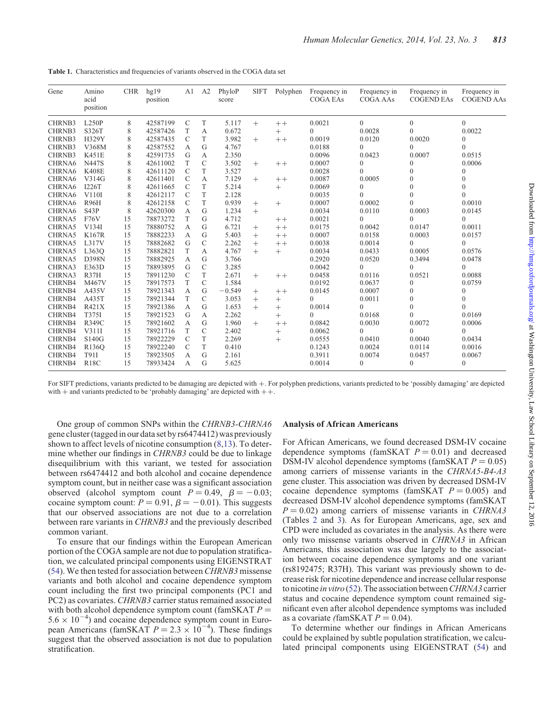| Gene          | Amino<br>acid<br>position | <b>CHR</b> | hg19<br>position | A <sub>1</sub> | A2            | PhyloP<br>score | <b>SIFT</b> | Polyphen | Frequency in<br><b>COGA EAs</b> | Frequency in<br><b>COGA AAs</b> | Frequency in<br><b>COGEND EAs</b> | Frequency in<br><b>COGEND AAs</b> |
|---------------|---------------------------|------------|------------------|----------------|---------------|-----------------|-------------|----------|---------------------------------|---------------------------------|-----------------------------------|-----------------------------------|
| CHRNB3        | L250P                     | 8          | 42587199         | $\mathcal{C}$  | T             | 5.117           | $+$         | $++$     | 0.0021                          | $\Omega$                        | $\mathbf{0}$                      | $\mathbf{0}$                      |
| CHRNB3        | S326T                     | 8          | 42587426         | T              | A             | 0.672           |             | $^{+}$   | $\theta$                        | 0.0028                          | $\theta$                          | 0.0022                            |
| CHRNB3        | H329Y                     | 8          | 42587435         | $\mathcal{C}$  | T             | 3.982           | $+$         | $++$     | 0.0019                          | 0.0120                          | 0.0020                            | $\mathbf{0}$                      |
| CHRNB3        | V368M                     | 8          | 42587552         | A              | G             | 4.767           |             |          | 0.0188                          | $\Omega$                        | $\Omega$                          | $\theta$                          |
| CHRNB3        | <b>K451E</b>              | 8          | 42591735         | G              | A             | 2.350           |             |          | 0.0096                          | 0.0423                          | 0.0007                            | 0.0515                            |
| CHRNA6        | N447S                     | 8          | 42611002         | T              | $\mathsf{C}$  | 3.502           | $^{+}$      | $++$     | 0.0007                          | $\overline{0}$                  | $\mathbf{0}$                      | 0.0006                            |
| CHRNA6        | <b>K408E</b>              | 8          | 42611120         | $\mathcal{C}$  | T             | 3.527           |             |          | 0.0028                          | $\theta$                        | $\mathbf{0}$                      | $\boldsymbol{0}$                  |
| CHRNA6        | V314G                     | 8          | 42611401         | $\mathcal{C}$  | А             | 7.129           | $+$         | $++$     | 0.0087                          | 0.0005                          | $\mathbf{0}$                      | $\boldsymbol{0}$                  |
| CHRNA6        | <b>I226T</b>              | 8          | 42611665         | $\mathcal{C}$  | T             | 5.214           |             | $^{+}$   | 0.0069                          | $\mathbf{0}$                    | $\mathbf{0}$                      | $\mathbf{0}$                      |
| CHRNA6        | V110I                     | 8          | 42612117         | $\mathcal{C}$  | T             | 2.128           |             |          | 0.0035                          | $\Omega$                        | $\theta$                          | $\theta$                          |
| CHRNA6        | R96H                      | 8          | 42612158         | C              | T             | 0.939           | $+$         | $^{+}$   | 0.0007                          | 0.0002                          | $\Omega$                          | 0.0010                            |
| CHRNA6        | S43P                      | 8          | 42620300         | A              | G             | 1.234           | $+$         |          | 0.0034                          | 0.0110                          | 0.0003                            | 0.0145                            |
| CHRNA5        | F76V                      | 15         | 78873272         | T              | G             | 4.712           |             | $++$     | 0.0021                          | $\Omega$                        | $\theta$                          | $\theta$                          |
| CHRNA5        | V134I                     | 15         | 78880752         | A              | G             | 6.721           | $^{+}$      | $++$     | 0.0175                          | 0.0042                          | 0.0147                            | 0.0011                            |
| CHRNA5        | K167R                     | 15         | 78882233         | A              | G             | 5.403           | $^{+}$      | $++$     | 0.0007                          | 0.0158                          | 0.0003                            | 0.0157                            |
| CHRNA5        | L317V                     | 15         | 78882682         | G              | $\mathsf{C}$  | 2.262           | $^{+}$      | $++$     | 0.0038                          | 0.0014                          | $\theta$                          | $\theta$                          |
| CHRNA5        | L363O                     | 15         | 78882821         | T              | A             | 4.767           | $+$         | $^{+}$   | 0.0034                          | 0.0433                          | 0.0005                            | 0.0576                            |
| CHRNA5        | D398N                     | 15         | 78882925         | A              | G             | 3.766           |             |          | 0.2920                          | 0.0520                          | 0.3494                            | 0.0478                            |
| CHRNA3        | E363D                     | 15         | 78893895         | G              | $\mathcal{C}$ | 3.285           |             |          | 0.0042                          | $\overline{0}$                  | $\overline{0}$                    | $\mathbf{0}$                      |
| CHRNA3        | R37H                      | 15         | 78911230         | $\mathcal{C}$  | T             | 2.671           | $+$         | $++$     | 0.0458                          | 0.0116                          | 0.0521                            | 0.0088                            |
| CHRNB4        | M467V                     | 15         | 78917573         | T              | $\mathsf{C}$  | 1.584           |             |          | 0.0192                          | 0.0637                          | $\mathbf{0}$                      | 0.0759                            |
| <b>CHRNB4</b> | A435V                     | 15         | 78921343         | A              | G             | $-0.549$        | $^{+}$      | $++$     | 0.0145                          | 0.0007                          | $\mathbf{0}$                      | $\boldsymbol{0}$                  |
| CHRNB4        | A435T                     | 15         | 78921344         | T              | $\mathcal{C}$ | 3.053           | $^{+}$      | $^{+}$   | $\Omega$                        | 0.0011                          | $\mathbf{0}$                      | $\mathbf{0}$                      |
| CHRNB4        | R421X                     | 15         | 78921386         | A              | G             | 1.653           | $+$         | $^{+}$   | 0.0014                          | $\Omega$                        | $\mathbf{0}$                      | $\theta$                          |
| CHRNB4        | T375I                     | 15         | 78921523         | G              | A             | 2.262           |             | $^{+}$   | $\theta$                        | 0.0168                          | $\theta$                          | 0.0169                            |
| CHRNB4        | <b>R349C</b>              | 15         | 78921602         | A              | G             | 1.960           | $+$         | $++$     | 0.0842                          | 0.0030                          | 0.0072                            | 0.0006                            |
| CHRNB4        | V311I                     | 15         | 78921716         | T              | $\mathsf{C}$  | 2.402           |             | $^{+}$   | 0.0062                          | $\theta$                        | $\theta$                          | $\theta$                          |
| CHRNB4        | S140G                     | 15         | 78922229         | $\mathcal{C}$  | T             | 2.269           |             | $+$      | 0.0555                          | 0.0410                          | 0.0040                            | 0.0434                            |
| CHRNB4        | R136Q                     | 15         | 78922240         | $\mathcal{C}$  | T             | 0.410           |             |          | 0.1243                          | 0.0024                          | 0.0114                            | 0.0016                            |
| CHRNB4        | T91I                      | 15         | 78923505         | А              | G             | 2.161           |             |          | 0.3911                          | 0.0074                          | 0.0457                            | 0.0067                            |
| CHRNB4        | R18C                      | 15         | 78933424         | A              | G             | 5.625           |             |          | 0.0014                          | $\overline{0}$                  | $\mathbf{0}$                      | $\mathbf{0}$                      |

<span id="page-3-0"></span>Table 1. Characteristics and frequencies of variants observed in the COGA data set

For SIFT predictions, variants predicted to be damaging are depicted with +. For polyphen predictions, variants predicted to be 'possibly damaging' are depicted with  $+$  and variants predicted to be 'probably damaging' are depicted with  $++$ .

One group of common SNPs within the CHRNB3-CHRNA6 gene cluster (taggedin our data set by rs6474412) was previously shown to affect levels of nicotine consumption [\(8](#page-8-0),[13\)](#page-8-0). To determine whether our findings in CHRNB3 could be due to linkage disequilibrium with this variant, we tested for association between rs6474412 and both alcohol and cocaine dependence symptom count, but in neither case was a significant association observed (alcohol symptom count  $P = 0.49$ ,  $\beta = -0.03$ ; cocaine symptom count:  $P = 0.91$ ,  $\beta = -0.01$ ). This suggests that our observed associations are not due to a correlation between rare variants in CHRNB3 and the previously described common variant.

To ensure that our findings within the European American portion of the COGA sample are not due to population stratification, we calculated principal components using EIGENSTRAT [\(54](#page-9-0)). We then tested for association between CHRNB3 missense variants and both alcohol and cocaine dependence symptom count including the first two principal components (PC1 and PC2) as covariates. CHRNB3 carrier status remained associated with both alcohol dependence symptom count (famSKAT  $P =$  $5.6 \times 10^{-4}$ ) and cocaine dependence symptom count in European Americans (famSKAT  $P = 2.3 \times 10^{-4}$ ). These findings suggest that the observed association is not due to population stratification.

#### Analysis of African Americans

For African Americans, we found decreased DSM-IV cocaine dependence symptoms (famSKAT  $P = 0.01$ ) and decreased DSM-IV alcohol dependence symptoms (famSKAT  $P = 0.05$ ) among carriers of missense variants in the CHRNA5-B4-A3 gene cluster. This association was driven by decreased DSM-IV cocaine dependence symptoms (famSKAT  $P = 0.005$ ) and decreased DSM-IV alcohol dependence symptoms (famSKAT  $P = 0.02$ ) among carriers of missense variants in CHRNA3 (Tables [2](#page-4-0) and [3\)](#page-4-0). As for European Americans, age, sex and CPD were included as covariates in the analysis. As there were only two missense variants observed in CHRNA3 in African Americans, this association was due largely to the association between cocaine dependence symptoms and one variant (rs8192475; R37H). This variant was previously shown to decrease risk for nicotine dependence and increase cellular response to nicotine in vitro ([52](#page-9-0)). The association between CHRNA3 carrier status and cocaine dependence symptom count remained significant even after alcohol dependence symptoms was included as a covariate (famSKAT  $P = 0.04$ ).

To determine whether our findings in African Americans could be explained by subtle population stratification, we calculated principal components using EIGENSTRAT ([54\)](#page-9-0) and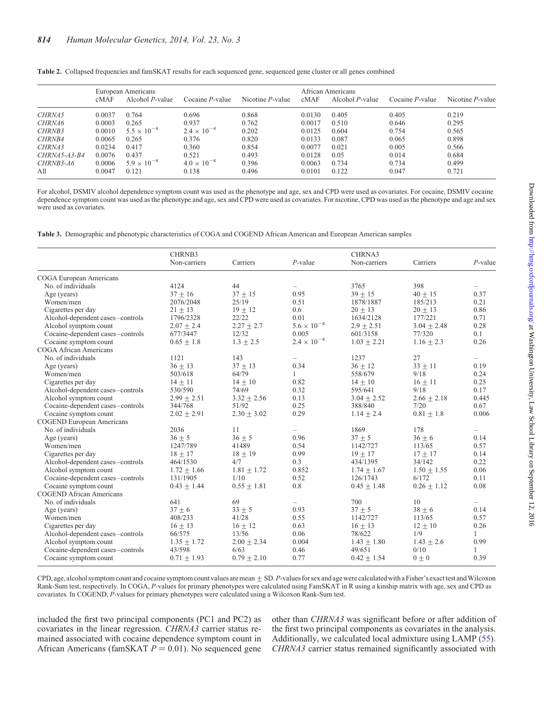<span id="page-4-0"></span>

|  |  |  |  | Table 2. Collapsed frequencies and famSKAT results for each sequenced gene, sequenced gene cluster or all genes combined |
|--|--|--|--|--------------------------------------------------------------------------------------------------------------------------|
|  |  |  |  |                                                                                                                          |

|                    | European Americans |                      |                      |                          |        | African Americans  |                    |                          |  |  |
|--------------------|--------------------|----------------------|----------------------|--------------------------|--------|--------------------|--------------------|--------------------------|--|--|
|                    | cMAF               | Alcohol P-value      | Cocaine P-value      | Nicotine <i>P</i> -value | cMAF   | Alcohol $P$ -value | Cocaine $P$ -value | Nicotine <i>P</i> -value |  |  |
| CHRNA5             | 0.0037             | 0.764                | 0.696                | 0.868                    | 0.0130 | 0.405              | 0.405              | 0.219                    |  |  |
| CHRNA6             | 0.0003             | 0.265                | 0.937                | 0.762                    | 0.0017 | 0.510              | 0.646              | 0.295                    |  |  |
| CHRNB <sub>3</sub> | 0.0010             | $5.5 \times 10^{-4}$ | $2.4 \times 10^{-4}$ | 0.202                    | 0.0125 | 0.604              | 0.754              | 0.565                    |  |  |
| <b>CHRNB4</b>      | 0.0065             | 0.265                | 0.376                | 0.820                    | 0.0133 | 0.087              | 0.065              | 0.898                    |  |  |
| CHRNA3             | 0.0234             | 0.417                | 0.360                | 0.854                    | 0.0077 | 0.021              | 0.005              | 0.566                    |  |  |
| $CHRNA5-A3-B4$     | 0.0076             | 0.437                | 0.521                | 0.493                    | 0.0128 | 0.05               | 0.014              | 0.684                    |  |  |
| CHRNB3-A6          | 0.0006             | $5.9 \times 10^{-4}$ | $4.0 \times 10^{-4}$ | 0.396                    | 0.0063 | 0.734              | 0.734              | 0.499                    |  |  |
| All                | 0.0047             | 0.121                | 0.138                | 0.496                    | 0.0101 | 0.122              | 0.047              | 0.721                    |  |  |

For alcohol, DSMIV alcohol dependence symptom count was used as the phenotype and age, sex and CPD were used as covariates. For cocaine, DSMIV cocaine dependence symptom count was used as the phenotype and age, sex and CPD were used as covariates. For nicotine, CPD was used as the phenotype and age and sex were used as covariates.

Table 3. Demographic and phenotypic characteristics of COGA and COGEND African American and European American samples

|                                  | CHRNB3          |                 |                          | CHRNA3          |                 |                          |
|----------------------------------|-----------------|-----------------|--------------------------|-----------------|-----------------|--------------------------|
|                                  | Non-carriers    | Carriers        | $P$ -value               | Non-carriers    | Carriers        | $P$ -value               |
| COGA European Americans          |                 |                 |                          |                 |                 |                          |
| No. of individuals               | 4124            | 44              |                          | 3765            | 398             |                          |
| Age (years)                      | $37 + 16$       | $37 + 15$       | 0.95                     | $39 + 15$       | $40 + 15$       | 0.37                     |
| Women/men                        | 2076/2048       | 25/19           | 0.51                     | 1878/1887       | 185/213         | 0.21                     |
| Cigarettes per day               | $21 + 13$       | $19 \pm 12$     | 0.6                      | $20 + 13$       | $20 \pm 13$     | 0.86                     |
| Alcohol-dependent cases-controls | 1796/2328       | 22/22           | 0.01                     | 1634/2128       | 177/221         | 0.71                     |
| Alcohol symptom count            | $2.07 \pm 2.4$  | $2.27 + 2.7$    | $5.6 \times 10^{-4}$     | $2.9 + 2.51$    | $3.04 \pm 2.48$ | 0.28                     |
| Cocaine-dependent cases-controls | 677/3447        | 12/32           | 0.005                    | 601/3158        | 77/320          | 0.1                      |
| Cocaine symptom count            | $0.65 + 1.8$    | $1.3 + 2.5$     | $2.4 \times 10^{-4}$     | $1.03 + 2.21$   | $1.16 + 2.3$    | 0.26                     |
| <b>COGA African Americans</b>    |                 |                 |                          |                 |                 |                          |
| No. of individuals               | 1121            | 143             | $\overline{\phantom{0}}$ | 1237            | 27              |                          |
| Age (years)                      | $36 + 13$       | $37 + 13$       | 0.34                     | $36 + 12$       | $33 \pm 11$     | 0.19                     |
| Women/men                        | 503/618         | 64/79           | 1                        | 558/679         | 9/18            | 0.24                     |
| Cigarettes per day               | $14 + 11$       | $14 + 10$       | 0.82                     | $14 + 10$       | $16 + 11$       | 0.25                     |
| Alcohol-dependent cases-controls | 530/590         | 74/69           | 0.32                     | 595/641         | 9/18            | 0.17                     |
| Alcohol symptom count            | $2.99 + 2.51$   | $3.32 \pm 2.56$ | 0.13                     | $3.04 + 2.52$   | $2.66 \pm 2.18$ | 0.445                    |
| Cocaine-dependent cases-controls | 344/768         | 51/92           | 0.25                     | 388/840         | 7/20            | 0.67                     |
| Cocaine symptom count            | $2.02 + 2.91$   | $2.30 \pm 3.02$ | 0.29                     | $1.14 + 2.4$    | $0.81 \pm 1.8$  | 0.006                    |
| <b>COGEND European Americans</b> |                 |                 |                          |                 |                 |                          |
| No. of individuals               | 2036            | 11              |                          | 1869            | 178             |                          |
| Age (years)                      | $36 \pm 5$      | $36 + 5$        | 0.96                     | $37 + 5$        | $36 + 6$        | 0.14                     |
| Women/men                        | 1247/789        | 41489           | 0.54                     | 1142/727        | 113/65          | 0.57                     |
| Cigarettes per day               | $18 \pm 17$     | $18 + 19$       | 0.99                     | $19 \pm 17$     | $17 \pm 17$     | 0.14                     |
| Alcohol-dependent cases-controls | 464/1530        | 4/7             | 0.3                      | 434/1395        | 34/142          | 0.22                     |
| Alcohol symptom count            | $1.72 \pm 1.66$ | $1.81 \pm 1.72$ | 0.852                    | $1.74 \pm 1.67$ | $1.50 + 1.55$   | 0.06                     |
| Cocaine-dependent cases-controls | 131/1905        | 1/10            | 0.52                     | 126/1743        | 6/172           | 0.11                     |
| Cocaine symptom count            | $0.43 + 1.44$   | $0.55 \pm 1.81$ | 0.8                      | $0.45 + 1.48$   | $0.26 \pm 1.12$ | 0.08                     |
| <b>COGEND African Americans</b>  |                 |                 |                          |                 |                 |                          |
| No. of individuals               | 641             | 69              |                          | 700             | 10              | $\overline{\phantom{0}}$ |
| Age (years)                      | $37 + 6$        | $33 + 5$        | 0.93                     | $37 + 5$        | $38 + 6$        | 0.14                     |
| Women/men                        | 408/233         | 41/28           | 0.55                     | 1142/727        | 113/65          | 0.57                     |
| Cigarettes per day               | $16 \pm 13$     | $16 \pm 12$     | 0.63                     | $16 \pm 13$     | $12 \pm 10$     | 0.26                     |
| Alcohol-dependent cases-controls | 66/575          | 13/56           | 0.06                     | 78/622          | 1/9             | $\mathbf{1}$             |
| Alcohol symptom count            | $1.35 + 1.72$   | $2.00 + 2.34$   | 0.004                    | $1.43 + 1.80$   | $1.43 + 2.6$    | 0.99                     |
| Cocaine-dependent cases-controls | 43/598          | 6/63            | 0.46                     | 49/651          | 0/10            | 1                        |
| Cocaine symptom count            | $0.71 \pm 1.93$ | $0.79 \pm 2.10$ | 0.77                     | $0.42 + 1.54$   | $0\pm 0$        | 0.39                     |

CPD, age, alcohol symptom count and cocaine symptom count values are mean  $\pm$  SD. P-values for sex and age were calculated with a Fisher's exact test and Wilcoxon Rank-Sum test, respectively. In COGA, P-values for primary phenotypes were calculated using FamSKAT in R using a kinship matrix with age, sex and CPD as covariates. In COGEND, P-values for primary phenotypes were calculated using a Wilcoxon Rank-Sum test.

included the first two principal components (PC1 and PC2) as covariates in the linear regression. CHRNA3 carrier status remained associated with cocaine dependence symptom count in African Americans (famSKAT  $P = 0.01$ ). No sequenced gene

other than CHRNA3 was significant before or after addition of the first two principal components as covariates in the analysis. Additionally, we calculated local admixture using LAMP [\(55](#page-9-0)). CHRNA3 carrier status remained significantly associated with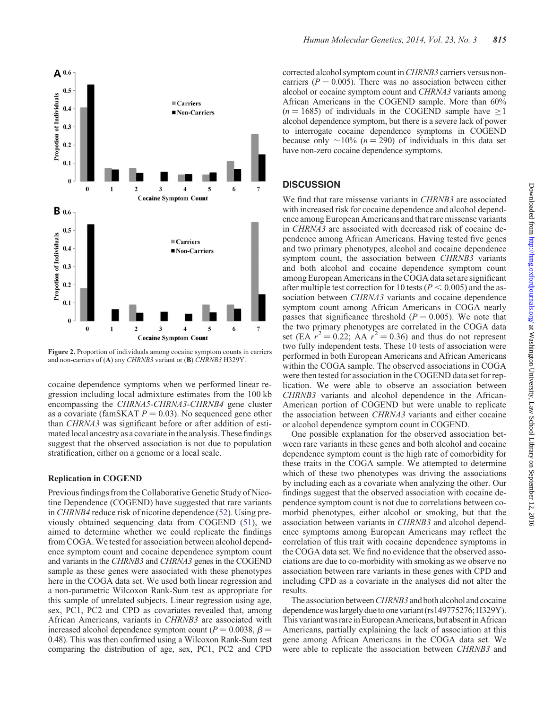<span id="page-5-0"></span>

Figure 2. Proportion of individuals among cocaine symptom counts in carriers and non-carriers of (A) any CHRNB3 variant or (B) CHRNB3 H329Y.

cocaine dependence symptoms when we performed linear regression including local admixture estimates from the 100 kb encompassing the *CHRNA5-CHRNA3-CHRNB4* gene cluster as a covariate (famSKAT  $P = 0.03$ ). No sequenced gene other than CHRNA3 was significant before or after addition of estimated local ancestry as a covariate in the analysis. These findings suggest that the observed association is not due to population stratification, either on a genome or a local scale.

#### Replication in COGEND

Previous findings from the Collaborative Genetic Study of Nicotine Dependence (COGEND) have suggested that rare variants in CHRNB4 reduce risk of nicotine dependence [\(52](#page-9-0)). Using previously obtained sequencing data from COGEND ([51\)](#page-9-0), we aimed to determine whether we could replicate the findings from COGA. We tested for association between alcohol dependence symptom count and cocaine dependence symptom count and variants in the CHRNB3 and CHRNA3 genes in the COGEND sample as these genes were associated with these phenotypes here in the COGA data set. We used both linear regression and a non-parametric Wilcoxon Rank-Sum test as appropriate for this sample of unrelated subjects. Linear regression using age, sex, PC1, PC2 and CPD as covariates revealed that, among African Americans, variants in CHRNB3 are associated with increased alcohol dependence symptom count ( $P = 0.0038$ ,  $\beta =$ 0.48). This was then confirmed using a Wilcoxon Rank-Sum test comparing the distribution of age, sex, PC1, PC2 and CPD

corrected alcohol symptom count in CHRNB3 carriers versus noncarriers ( $P = 0.005$ ). There was no association between either alcohol or cocaine symptom count and CHRNA3 variants among African Americans in the COGEND sample. More than 60%  $(n = 1685)$  of individuals in the COGEND sample have  $\geq 1$ alcohol dependence symptom, but there is a severe lack of power to interrogate cocaine dependence symptoms in COGEND because only  $\sim 10\%$  (*n* = 290) of individuals in this data set have non-zero cocaine dependence symptoms.

#### **DISCUSSION**

We find that rare missense variants in *CHRNB3* are associated with increased risk for cocaine dependence and alcohol dependence among European Americans and that rare missense variants in CHRNA3 are associated with decreased risk of cocaine dependence among African Americans. Having tested five genes and two primary phenotypes, alcohol and cocaine dependence symptom count, the association between CHRNB3 variants and both alcohol and cocaine dependence symptom count among European Americans inthe COGA data set are significant after multiple test correction for 10 tests ( $P < 0.005$ ) and the association between CHRNA3 variants and cocaine dependence symptom count among African Americans in COGA nearly passes that significance threshold ( $P = 0.005$ ). We note that the two primary phenotypes are correlated in the COGA data set (EA  $r^2 = 0.22$ ; AA  $r^2 = 0.36$ ) and thus do not represent two fully independent tests. These 10 tests of association were performed in both European Americans and African Americans within the COGA sample. The observed associations in COGA were then tested for association in the COGEND data set for replication. We were able to observe an association between CHRNB3 variants and alcohol dependence in the African-American portion of COGEND but were unable to replicate the association between CHRNA3 variants and either cocaine or alcohol dependence symptom count in COGEND.

One possible explanation for the observed association between rare variants in these genes and both alcohol and cocaine dependence symptom count is the high rate of comorbidity for these traits in the COGA sample. We attempted to determine which of these two phenotypes was driving the associations by including each as a covariate when analyzing the other. Our findings suggest that the observed association with cocaine dependence symptom count is not due to correlations between comorbid phenotypes, either alcohol or smoking, but that the association between variants in CHRNB3 and alcohol dependence symptoms among European Americans may reflect the correlation of this trait with cocaine dependence symptoms in the COGA data set. We find no evidence that the observed associations are due to co-morbidity with smoking as we observe no association between rare variants in these genes with CPD and including CPD as a covariate in the analyses did not alter the results.

The association between CHRNB3 and both alcohol and cocaine dependence was largely due to one variant (rs149775276; H329Y). This variant was rare in European Americans, but absent in African Americans, partially explaining the lack of association at this gene among African Americans in the COGA data set. We were able to replicate the association between CHRNB3 and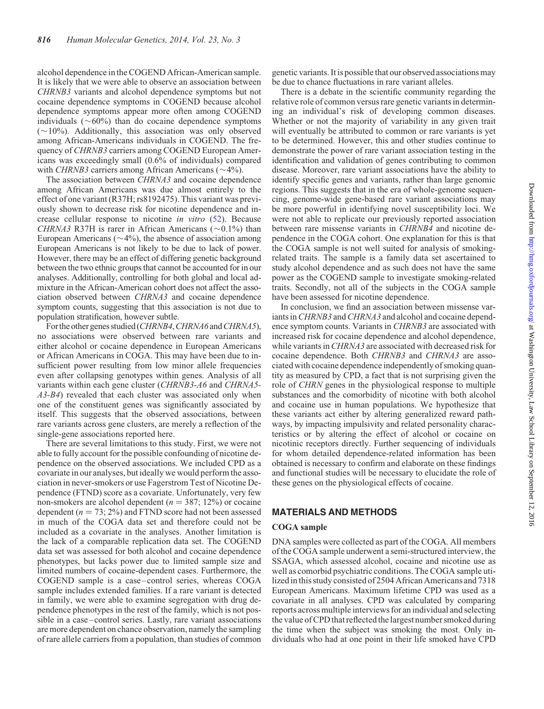alcohol dependence in the COGEND African-American sample. It is likely that we were able to observe an association between CHRNB3 variants and alcohol dependence symptoms but not cocaine dependence symptoms in COGEND because alcohol dependence symptoms appear more often among COGEND individuals ( $\sim 60\%$ ) than do cocaine dependence symptoms  $(\sim 10\%)$ . Additionally, this association was only observed among African-Americans individuals in COGEND. The frequency of CHRNB3 carriers among COGEND European Americans was exceedingly small (0.6% of individuals) compared with *CHRNB3* carriers among African Americans ( $\sim$ 4%).

The association between CHRNA3 and cocaine dependence among African Americans was due almost entirely to the effect of one variant (R37H; rs8192475). This variant was previously shown to decrease risk for nicotine dependence and increase cellular response to nicotine in vitro [\(52](#page-9-0)). Because CHRNA3 R37H is rarer in African Americans ( $\sim$ 0.1%) than European Americans ( $\sim$ 4%), the absence of association among European Americans is not likely to be due to lack of power. However, there may be an effect of differing genetic background between the two ethnic groups that cannot be accounted for in our analyses. Additionally, controlling for both global and local admixture in the African-American cohort does not affect the association observed between CHRNA3 and cocaine dependence symptom counts, suggesting that this association is not due to population stratification, however subtle.

For the other genes studied (CHRNB4, CHRNA6 and CHRNA5), no associations were observed between rare variants and either alcohol or cocaine dependence in European Americans or African Americans in COGA. This may have been due to insufficient power resulting from low minor allele frequencies even after collapsing genotypes within genes. Analysis of all variants within each gene cluster (CHRNB3-A6 and CHRNA5- A3-B4) revealed that each cluster was associated only when one of the constituent genes was significantly associated by itself. This suggests that the observed associations, between rare variants across gene clusters, are merely a reflection of the single-gene associations reported here.

There are several limitations to this study. First, we were not able to fully account for the possible confounding of nicotine dependence on the observed associations. We included CPD as a covariate in our analyses, but ideally we would perform the association in never-smokers or use Fagerstrom Test of Nicotine Dependence (FTND) score as a covariate. Unfortunately, very few non-smokers are alcohol dependent ( $n = 387$ ; 12%) or cocaine dependent ( $n = 73$ ; 2%) and FTND score had not been assessed in much of the COGA data set and therefore could not be included as a covariate in the analyses. Another limitation is the lack of a comparable replication data set. The COGEND data set was assessed for both alcohol and cocaine dependence phenotypes, but lacks power due to limited sample size and limited numbers of cocaine-dependent cases. Furthermore, the COGEND sample is a case–control series, whereas COGA sample includes extended families. If a rare variant is detected in family, we were able to examine segregation with drug dependence phenotypes in the rest of the family, which is not possible in a case –control series. Lastly, rare variant associations are more dependent on chance observation, namely the sampling of rare allele carriers from a population, than studies of common

genetic variants. Itis possible that our observed associations may be due to chance fluctuations in rare variant alleles.

There is a debate in the scientific community regarding the relative role of common versus rare genetic variants in determining an individual's risk of developing common diseases. Whether or not the majority of variability in any given trait will eventually be attributed to common or rare variants is yet to be determined. However, this and other studies continue to demonstrate the power of rare variant association testing in the identification and validation of genes contributing to common disease. Moreover, rare variant associations have the ability to identify specific genes and variants, rather than large genomic regions. This suggests that in the era of whole-genome sequencing, genome-wide gene-based rare variant associations may be more powerful in identifying novel susceptibility loci. We were not able to replicate our previously reported association between rare missense variants in CHRNB4 and nicotine dependence in the COGA cohort. One explanation for this is that the COGA sample is not well suited for analysis of smokingrelated traits. The sample is a family data set ascertained to study alcohol dependence and as such does not have the same power as the COGEND sample to investigate smoking-related traits. Secondly, not all of the subjects in the COGA sample have been assessed for nicotine dependence.

In conclusion, we find an association between missense variants in CHRNB3 and CHRNA3 and alcohol and cocaine dependence symptom counts. Variants in CHRNB3 are associated with increased risk for cocaine dependence and alcohol dependence, while variants in CHRNA3 are associated with decreased risk for cocaine dependence. Both CHRNB3 and CHRNA3 are associated with cocaine dependence independently of smoking quantity as measured by CPD, a fact that is not surprising given the role of CHRN genes in the physiological response to multiple substances and the comorbidity of nicotine with both alcohol and cocaine use in human populations. We hypothesize that these variants act either by altering generalized reward pathways, by impacting impulsivity and related personality characteristics or by altering the effect of alcohol or cocaine on nicotinic receptors directly. Further sequencing of individuals for whom detailed dependence-related information has been obtained is necessary to confirm and elaborate on these findings and functional studies will be necessary to elucidate the role of these genes on the physiological effects of cocaine.

### MATERIALS AND METHODS

#### COGA sample

DNA samples were collected as part of the COGA. All members of the COGA sample underwent a semi-structured interview, the SSAGA, which assessed alcohol, cocaine and nicotine use as well as comorbid psychiatric conditions. The COGA sample utilized in this study consisted of 2504 African Americans and 7318 European Americans. Maximum lifetime CPD was used as a covariate in all analyses. CPD was calculated by comparing reports across multiple interviews for an individual and selecting the value of CPD that reflected the largest number smoked during the time when the subject was smoking the most. Only individuals who had at one point in their life smoked have CPD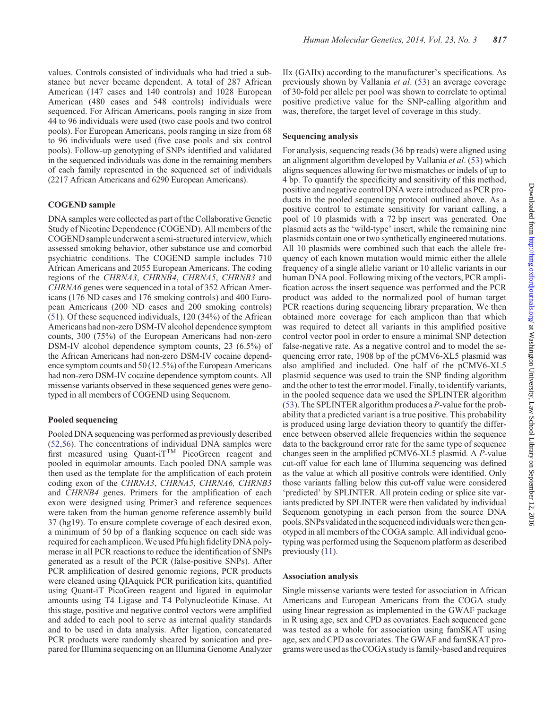values. Controls consisted of individuals who had tried a substance but never became dependent. A total of 287 African American (147 cases and 140 controls) and 1028 European American (480 cases and 548 controls) individuals were sequenced. For African Americans, pools ranging in size from 44 to 96 individuals were used (two case pools and two control pools). For European Americans, pools ranging in size from 68 to 96 individuals were used (five case pools and six control pools). Follow-up genotyping of SNPs identified and validated in the sequenced individuals was done in the remaining members of each family represented in the sequenced set of individuals (2217 African Americans and 6290 European Americans).

#### COGEND sample

DNA samples were collected as part of the Collaborative Genetic Study of Nicotine Dependence (COGEND). All members of the COGEND sample underwent a semi-structuredinterview, which assessed smoking behavior, other substance use and comorbid psychiatric conditions. The COGEND sample includes 710 African Americans and 2055 European Americans. The coding regions of the CHRNA3, CHRNB4, CHRNA5, CHRNB3 and CHRNA6 genes were sequenced in a total of 352 African Americans (176 ND cases and 176 smoking controls) and 400 European Americans (200 ND cases and 200 smoking controls) [\(51](#page-9-0)). Of these sequenced individuals, 120 (34%) of the African Americans had non-zero DSM-IV alcohol dependence symptom counts, 300 (75%) of the European Americans had non-zero DSM-IV alcohol dependence symptom counts, 23 (6.5%) of the African Americans had non-zero DSM-IV cocaine dependence symptom counts and 50 (12.5%) of the European Americans had non-zero DSM-IV cocaine dependence symptom counts. All missense variants observed in these sequenced genes were genotyped in all members of COGEND using Sequenom.

#### Pooled sequencing

Pooled DNA sequencing was performed as previously described [\(52](#page-9-0),[56\)](#page-9-0). The concentrations of individual DNA samples were first measured using Quant-iT<sup>TM</sup> PicoGreen reagent and pooled in equimolar amounts. Each pooled DNA sample was then used as the template for the amplification of each protein coding exon of the CHRNA3, CHRNA5, CHRNA6, CHRNB3 and CHRNB4 genes. Primers for the amplification of each exon were designed using Primer3 and reference sequences were taken from the human genome reference assembly build 37 (hg19). To ensure complete coverage of each desired exon, a minimum of 50 bp of a flanking sequence on each side was required for each amplicon.We used Pfu high fidelity DNA polymerase in all PCR reactions to reduce the identification of SNPs generated as a result of the PCR (false-positive SNPs). After PCR amplification of desired genomic regions, PCR products were cleaned using QIAquick PCR purification kits, quantified using Quant-iT PicoGreen reagent and ligated in equimolar amounts using T4 Ligase and T4 Polynucleotide Kinase. At this stage, positive and negative control vectors were amplified and added to each pool to serve as internal quality standards and to be used in data analysis. After ligation, concatenated PCR products were randomly sheared by sonication and prepared for Illumina sequencing on an Illumina Genome Analyzer

IIx (GAIIx) according to the manufacturer's specifications. As previously shown by Vallania et al. [\(53](#page-9-0)) an average coverage of 30-fold per allele per pool was shown to correlate to optimal positive predictive value for the SNP-calling algorithm and was, therefore, the target level of coverage in this study.

#### Sequencing analysis

For analysis, sequencing reads (36 bp reads) were aligned using an alignment algorithm developed by Vallania et al. [\(53](#page-9-0)) which aligns sequences allowing for two mismatches or indels of up to 4 bp. To quantify the specificity and sensitivity of this method, positive and negative control DNA were introduced as PCR products in the pooled sequencing protocol outlined above. As a positive control to estimate sensitivity for variant calling, a pool of 10 plasmids with a 72 bp insert was generated. One plasmid acts as the 'wild-type' insert, while the remaining nine plasmids contain one or two synthetically engineered mutations. All 10 plasmids were combined such that each the allele frequency of each known mutation would mimic either the allele frequency of a single allelic variant or 10 allelic variants in our human DNA pool. Following mixing of the vectors, PCR amplification across the insert sequence was performed and the PCR product was added to the normalized pool of human target PCR reactions during sequencing library preparation. We then obtained more coverage for each amplicon than that which was required to detect all variants in this amplified positive control vector pool in order to ensure a minimal SNP detection false-negative rate. As a negative control and to model the sequencing error rate, 1908 bp of the pCMV6-XL5 plasmid was also amplified and included. One half of the pCMV6-XL5 plasmid sequence was used to train the SNP finding algorithm and the other to test the error model. Finally, to identify variants, in the pooled sequence data we used the SPLINTER algorithm [\(53](#page-9-0)). The SPLINTER algorithm produces a  $P$ -value for the probability that a predicted variant is a true positive. This probability is produced using large deviation theory to quantify the difference between observed allele frequencies within the sequence data to the background error rate for the same type of sequence changes seen in the amplified pCMV6-XL5 plasmid. A P-value cut-off value for each lane of Illumina sequencing was defined as the value at which all positive controls were identified. Only those variants falling below this cut-off value were considered 'predicted' by SPLINTER. All protein coding or splice site variants predicted by SPLINTER were then validated by individual Sequenom genotyping in each person from the source DNA pools. SNPs validated in the sequenced individuals were then genotyped in all members of the COGA sample. All individual genotyping was performed using the Sequenom platform as described previously ([11\)](#page-8-0).

#### Association analysis

Single missense variants were tested for association in African Americans and European Americans from the COGA study using linear regression as implemented in the GWAF package in R using age, sex and CPD as covariates. Each sequenced gene was tested as a whole for association using famSKAT using age, sex and CPD as covariates. The GWAF and famSKAT programs were used astheCOGA studyis family-based and requires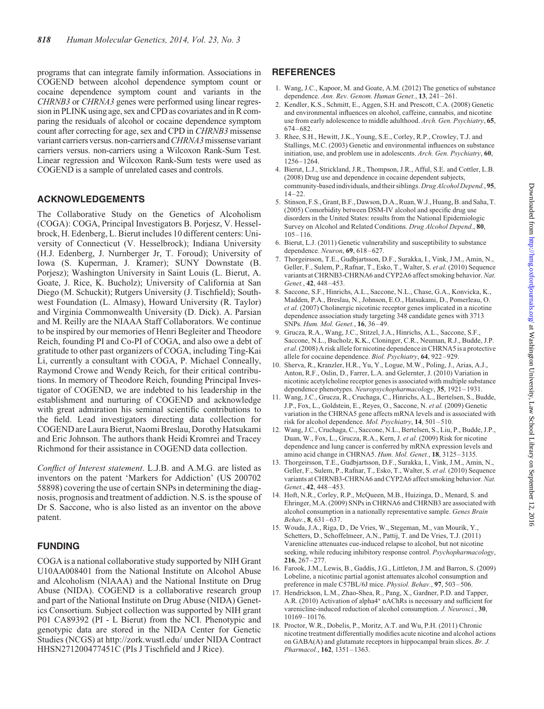<span id="page-8-0"></span>programs that can integrate family information. Associations in COGEND between alcohol dependence symptom count or cocaine dependence symptom count and variants in the CHRNB3 or CHRNA3 genes were performed using linear regression in PLINK using age, sex and CPD as covariates and in R comparing the residuals of alcohol or cocaine dependence symptom count after correcting for age, sex and CPD in CHRNB3 missense variant carriers versus. non-carriers and CHRNA3 missense variant carriers versus. non-carriers using a Wilcoxon Rank-Sum Test. Linear regression and Wilcoxon Rank-Sum tests were used as COGEND is a sample of unrelated cases and controls.

## ACKNOWLEDGEMENTS

The Collaborative Study on the Genetics of Alcoholism (COGA): COGA, Principal Investigators B. Porjesz, V. Hesselbrock, H. Edenberg, L. Bierut includes 10 different centers: University of Connecticut (V. Hesselbrock); Indiana University (H.J. Edenberg, J. Nurnberger Jr, T. Foroud); University of Iowa (S. Kuperman, J. Kramer); SUNY Downstate (B. Porjesz); Washington University in Saint Louis (L. Bierut, A. Goate, J. Rice, K. Bucholz); University of California at San Diego (M. Schuckit); Rutgers University (J. Tischfield); Southwest Foundation (L. Almasy), Howard University (R. Taylor) and Virginia Commonwealth University (D. Dick). A. Parsian and M. Reilly are the NIAAA Staff Collaborators. We continue to be inspired by our memories of Henri Begleiter and Theodore Reich, founding PI and Co-PI of COGA, and also owe a debt of gratitude to other past organizers of COGA, including Ting-Kai Li, currently a consultant with COGA, P. Michael Conneally, Raymond Crowe and Wendy Reich, for their critical contributions. In memory of Theodore Reich, founding Principal Investigator of COGEND, we are indebted to his leadership in the establishment and nurturing of COGEND and acknowledge with great admiration his seminal scientific contributions to the field. Lead investigators directing data collection for COGEND are Laura Bierut, Naomi Breslau, Dorothy Hatsukami and Eric Johnson. The authors thank Heidi Kromrei and Tracey Richmond for their assistance in COGEND data collection.

Conflict of Interest statement. L.J.B. and A.M.G. are listed as inventors on the patent 'Markers for Addiction' (US 200702 58898) covering the use of certain SNPs in determining the diagnosis, prognosis and treatment of addiction. N.S. is the spouse of Dr S. Saccone, who is also listed as an inventor on the above patent.

## FUNDING

COGA is a national collaborative study supported by NIH Grant U10AA008401 from the National Institute on Alcohol Abuse and Alcoholism (NIAAA) and the National Institute on Drug Abuse (NIDA). COGEND is a collaborative research group and part of the National Institute on Drug Abuse (NIDA) Genetics Consortium. Subject collection was supported by NIH grant P01 CA89392 (PI - L Bierut) from the NCI. Phenotypic and genotypic data are stored in the NIDA Center for Genetic Studies (NCGS) at http://zork.wustl.edu/ under NIDA Contract HHSN271200477451C (PIs J Tischfield and J Rice).

## **REFERENCES**

- 1. Wang, J.C., Kapoor, M. and Goate, A.M. (2012) The genetics of substance dependence. Ann. Rev. Genom. Human Genet., 13, 241-261.
- 2. Kendler, K.S., Schmitt, E., Aggen, S.H. and Prescott, C.A. (2008) Genetic and environmental influences on alcohol, caffeine, cannabis, and nicotine use from early adolescence to middle adulthood. Arch. Gen. Psychiatry, 65, 674–682.
- 3. Rhee, S.H., Hewitt, J.K., Young, S.E., Corley, R.P., Crowley, T.J. and Stallings, M.C. (2003) Genetic and environmental influences on substance initiation, use, and problem use in adolescents. Arch. Gen. Psychiatry, 60, 1256– 1264.
- 4. Bierut, L.J., Strickland, J.R., Thompson, J.R., Afful, S.E. and Cottler, L.B. (2008) Drug use and dependence in cocaine dependent subjects, community-based individuals, and their siblings. Drug Alcohol Depend., 95,  $14 - 22.$
- 5. Stinson, F.S., Grant, B.F., Dawson, D.A., Ruan,W.J., Huang, B. and Saha, T. (2005) Comorbidity between DSM-IV alcohol and specific drug use disorders in the United States: results from the National Epidemiologic Survey on Alcohol and Related Conditions. Drug Alcohol Depend., 80, 105–116.
- 6. Bierut, L.J. (2011) Genetic vulnerability and susceptibility to substance dependence. Neuron, 69, 618–627.
- 7. Thorgeirsson, T.E., Gudbjartsson, D.F., Surakka, I., Vink, J.M., Amin, N., Geller, F., Sulem, P., Rafnar, T., Esko, T., Walter, S. et al. (2010) Sequence variants at CHRNB3-CHRNA6 and CYP2A6 affect smoking behavior. Nat. Genet., 42, 448–453.
- 8. Saccone, S.F., Hinrichs, A.L., Saccone, N.L., Chase, G.A., Konvicka, K., Madden, P.A., Breslau, N., Johnson, E.O., Hatsukami, D., Pomerleau, O. et al. (2007) Cholinergic nicotinic receptor genes implicated in a nicotine dependence association study targeting 348 candidate genes with 3713 SNPs. Hum. Mol. Genet., 16, 36–49.
- 9. Grucza, R.A., Wang, J.C., Stitzel, J.A., Hinrichs, A.L., Saccone, S.F., Saccone, N.L., Bucholz, K.K., Cloninger, C.R., Neuman, R.J., Budde, J.P. et al.(2008) A risk allele for nicotine dependence in CHRNA5 is a protective allele for cocaine dependence. Biol. Psychiatry, 64, 922–929.
- 10. Sherva, R., Kranzler, H.R., Yu, Y., Logue, M.W., Poling, J., Arias, A.J., Anton, R.F., Oslin, D., Farrer, L.A. and Gelernter, J. (2010) Variation in nicotinic acetylcholine receptor genes is associated with multiple substance dependence phenotypes. Neuropsychopharmacology, 35, 1921-1931.
- 11. Wang, J.C., Grucza, R., Cruchaga, C., Hinrichs, A.L., Bertelsen, S., Budde, J.P., Fox, L., Goldstein, E., Reyes, O., Saccone, N. et al. (2009) Genetic variation in the CHRNA5 gene affects mRNA levels and is associated with risk for alcohol dependence. Mol. Psychiatry, 14, 501–510.
- 12. Wang, J.C., Cruchaga, C., Saccone, N.L., Bertelsen, S., Liu, P., Budde, J.P., Duan, W., Fox, L., Grucza, R.A., Kern, J. et al. (2009) Risk for nicotine dependence and lung cancer is conferred by mRNA expression levels and amino acid change in CHRNA5. Hum. Mol. Genet., 18, 3125–3135.
- 13. Thorgeirsson, T.E., Gudbjartsson, D.F., Surakka, I., Vink, J.M., Amin, N., Geller, F., Sulem, P., Rafnar, T., Esko, T., Walter, S. et al. (2010) Sequence variants at CHRNB3-CHRNA6 and CYP2A6 affect smoking behavior. Nat. Genet., 42, 448–453.
- 14. Hoft, N.R., Corley, R.P., McQueen, M.B., Huizinga, D., Menard, S. and Ehringer, M.A. (2009) SNPs in CHRNA6 and CHRNB3 are associated with alcohol consumption in a nationally representative sample. Genes Brain Behav., 8, 631–637.
- 15. Wouda, J.A., Riga, D., De Vries, W., Stegeman, M., van Mourik, Y., Schetters, D., Schoffelmeer, A.N., Pattij, T. and De Vries, T.J. (2011) Varenicline attenuates cue-induced relapse to alcohol, but not nicotine seeking, while reducing inhibitory response control. Psychopharmacology,  $216, 267 - 277.$
- 16. Farook, J.M., Lewis, B., Gaddis, J.G., Littleton, J.M. and Barron, S. (2009) Lobeline, a nicotinic partial agonist attenuates alcohol consumption and preference in male C57BL/6J mice. Physiol. Behav., 97, 503-506.
- 17. Hendrickson, L.M., Zhao-Shea, R., Pang, X., Gardner, P.D. and Tapper, A.R. (2010) Activation of alpha4<sup>∗</sup> nAChRs is necessary and sufficient for varenicline-induced reduction of alcohol consumption. J. Neurosci., 30, 10169– 10176.
- 18. Proctor, W.R., Dobelis, P., Moritz, A.T. and Wu, P.H. (2011) Chronic nicotine treatment differentially modifies acute nicotine and alcohol actions on GABA(A) and glutamate receptors in hippocampal brain slices. Br. J. Pharmacol., 162, 1351-1363.